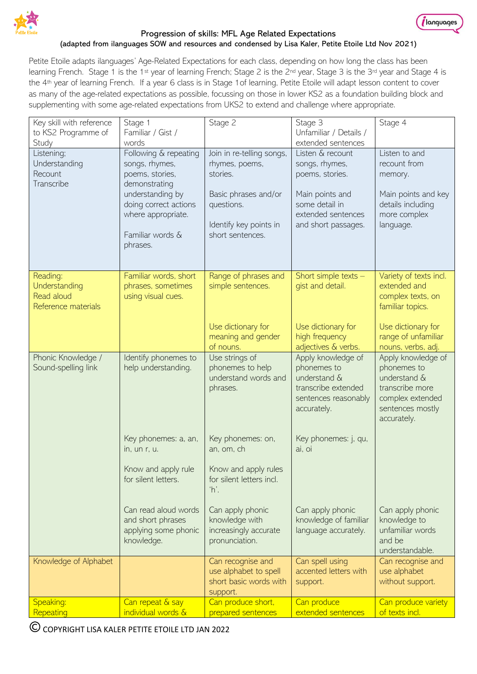

#### Progression of skills: MFL Age Related Expectations

*(languages* 

#### (adapted from ilanguages SOW and resources and condensed by Lisa Kaler, Petite Etoile Ltd Nov 2021)

Petite Etoile adapts ilanguages' Age-Related Expectations for each class, depending on how long the class has been learning French. Stage 1 is the 1st year of learning French; Stage 2 is the 2<sup>nd</sup> year, Stage 3 is the 3rd year and Stage 4 is the 4<sup>th</sup> year of learning French. If a year 6 class is in Stage 1 of learning, Petite Etoile will adapt lesson content to cover as many of the age-related expectations as possible, focussing on those in lower KS2 as a foundation building block and supplementing with some age-related expectations from UKS2 to extend and challenge where appropriate.

| Key skill with reference<br>to KS2 Programme of                | Stage 1<br>Familiar / Gist /                                                                    | Stage 2                                                                          | Stage 3<br>Unfamiliar / Details /                                                                               | Stage 4                                                                                                                     |
|----------------------------------------------------------------|-------------------------------------------------------------------------------------------------|----------------------------------------------------------------------------------|-----------------------------------------------------------------------------------------------------------------|-----------------------------------------------------------------------------------------------------------------------------|
| Study                                                          | words                                                                                           |                                                                                  | extended sentences                                                                                              |                                                                                                                             |
| Listening;<br>Understanding<br>Recount<br>Transcribe           | Following & repeating<br>songs, rhymes,<br>poems, stories,<br>demonstrating                     | Join in re-telling songs,<br>rhymes, poems,<br>stories.                          | Listen & recount<br>songs, rhymes,<br>poems, stories.                                                           | Listen to and<br>recount from<br>memory.                                                                                    |
|                                                                | understanding by<br>doing correct actions<br>where appropriate.<br>Familiar words &<br>phrases. | Basic phrases and/or<br>questions.<br>Identify key points in<br>short sentences. | Main points and<br>some detail in<br>extended sentences<br>and short passages.                                  | Main points and key<br>details including<br>more complex<br>language.                                                       |
| Reading:<br>Understanding<br>Read aloud<br>Reference materials | Familiar words, short<br>phrases, sometimes<br>using visual cues.                               | Range of phrases and<br>simple sentences.                                        | Short simple texts -<br>gist and detail.                                                                        | Variety of texts incl.<br>extended and<br>complex texts, on<br>familiar topics.                                             |
|                                                                |                                                                                                 | Use dictionary for<br>meaning and gender<br>of nouns.                            | Use dictionary for<br>high frequency<br>adjectives & verbs.                                                     | Use dictionary for<br>range of unfamiliar<br>nouns, verbs, adj.                                                             |
| Phonic Knowledge /<br>Sound-spelling link                      | Identify phonemes to<br>help understanding.                                                     | Use strings of<br>phonemes to help<br>understand words and<br>phrases.           | Apply knowledge of<br>phonemes to<br>understand &<br>transcribe extended<br>sentences reasonably<br>accurately. | Apply knowledge of<br>phonemes to<br>understand &<br>transcribe more<br>complex extended<br>sentences mostly<br>accurately. |
|                                                                | Key phonemes: a, an,<br>in, un r, u.                                                            | Key phonemes: on,<br>an, om, ch                                                  | Key phonemes: j, qu,<br>ai, oi                                                                                  |                                                                                                                             |
|                                                                | Know and apply rule<br>for silent letters.                                                      | Know and apply rules<br>for silent letters incl.<br>'n.                          |                                                                                                                 |                                                                                                                             |
|                                                                | Can read aloud words<br>and short phrases<br>applying some phonic<br>knowledge.                 | Can apply phonic<br>knowledge with<br>increasingly accurate<br>pronunciation.    | Can apply phonic<br>knowledge of familiar<br>language accurately.                                               | Can apply phonic<br>knowledge to<br>unfamiliar words<br>and be<br>understandable.                                           |
| Knowledge of Alphabet                                          |                                                                                                 | Can recognise and<br>use alphabet to spell<br>short basic words with<br>support. | Can spell using<br>accented letters with<br>support.                                                            | Can recognise and<br>use alphabet<br>without support.                                                                       |
| Speaking:<br>Repeating                                         | Can repeat & say<br>individual words &                                                          | Can produce short,<br>prepared sentences                                         | Can produce<br>extended sentences                                                                               | Can produce variety<br>of texts incl.                                                                                       |
|                                                                |                                                                                                 |                                                                                  |                                                                                                                 |                                                                                                                             |

COPYRIGHT LISA KALER PETITE ETOILE LTD JAN 2022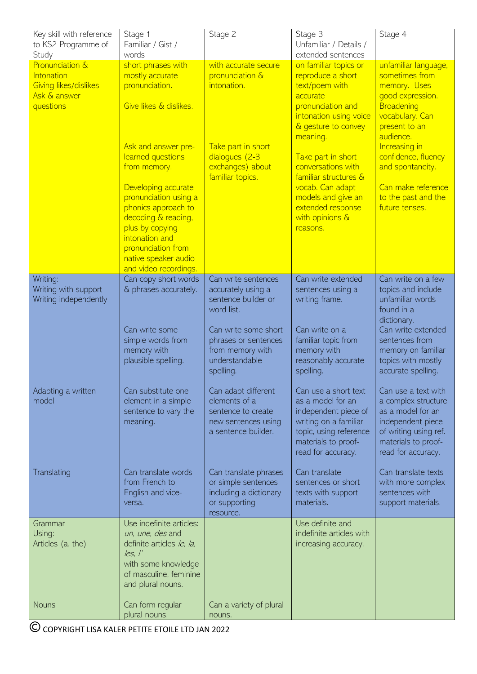| extended sentences<br>Study<br>words<br>Pronunciation &<br>short phrases with<br>with accurate secure<br>unfamiliar language,<br>on familiar topics or<br>sometimes from<br>pronunciation &<br>reproduce a short<br>Intonation<br>mostly accurate<br>Giving likes/dislikes<br>intonation.<br>text/poem with<br>memory. Uses<br>pronunciation.<br>Ask & answer<br>good expression.<br>accurate<br>Give likes & dislikes.<br>pronunciation and<br>questions<br>Broadening<br>intonation using voice<br>vocabulary. Can<br>& gesture to convey<br>present to an<br>audience.<br>meaning.<br>Ask and answer pre-<br>Take part in short<br>Increasing in<br>learned questions<br>dialogues (2-3<br>confidence, fluency<br>Take part in short<br>conversations with<br>exchanges) about<br>and spontaneity.<br>from memory.<br>familiar structures &<br>familiar topics.<br>vocab. Can adapt<br>Can make reference<br>Developing accurate<br>pronunciation using a<br>models and give an<br>to the past and the<br>extended response<br>phonics approach to<br>future tenses.<br>with opinions &<br>decoding & reading,<br>plus by copying<br>reasons.<br>intonation and<br>pronunciation from<br>native speaker audio<br>and video recordings.<br>Writing:<br>Can copy short words<br>Can write sentences<br>Can write extended<br>Can write on a few<br>Writing with support<br>& phrases accurately.<br>accurately using a<br>topics and include<br>sentences using a<br>sentence builder or<br>unfamiliar words<br>Writing independently<br>writing frame.<br>word list.<br>found in a<br>dictionary.<br>Can write extended<br>Can write on a<br>Can write some<br>Can write some short<br>simple words from<br>phrases or sentences<br>familiar topic from<br>sentences from<br>memory with<br>from memory with<br>memory with<br>memory on familiar<br>plausible spelling.<br>understandable<br>reasonably accurate<br>topics with mostly<br>accurate spelling.<br>spelling.<br>spelling.<br>Adapting a written<br>Can substitute one<br>Can adapt different<br>Can use a short text<br>Can use a text with<br>elements of a<br>model<br>element in a simple<br>as a model for an<br>a complex structure<br>independent piece of<br>as a model for an<br>sentence to vary the<br>sentence to create<br>new sentences using<br>writing on a familiar<br>independent piece<br>meaning.<br>a sentence builder.<br>topic, using reference<br>of writing using ref.<br>materials to proof-<br>materials to proof-<br>read for accuracy.<br>read for accuracy.<br>Can translate words<br>Can translate<br>Can translate texts<br>Translating<br>Can translate phrases<br>from French to<br>or simple sentences<br>with more complex<br>sentences or short<br>including a dictionary<br>English and vice-<br>texts with support<br>sentences with<br>or supporting<br>materials.<br>support materials.<br>versa.<br>resource.<br>Use definite and<br>Use indefinite articles:<br>Grammar<br>indefinite articles with<br>Using:<br>un, une, des and<br>Articles (a, the)<br>definite articles /e, /a,<br>increasing accuracy.<br>les, I'<br>with some knowledge<br>of masculine, feminine<br>and plural nouns.<br><b>Nouns</b><br>Can form regular<br>Can a variety of plural<br>plural nouns.<br>nouns. | Key skill with reference<br>to KS2 Programme of | Stage 1<br>Familiar / Gist / | Stage 2 | Stage 3<br>Unfamiliar / Details / | Stage 4 |
|--------------------------------------------------------------------------------------------------------------------------------------------------------------------------------------------------------------------------------------------------------------------------------------------------------------------------------------------------------------------------------------------------------------------------------------------------------------------------------------------------------------------------------------------------------------------------------------------------------------------------------------------------------------------------------------------------------------------------------------------------------------------------------------------------------------------------------------------------------------------------------------------------------------------------------------------------------------------------------------------------------------------------------------------------------------------------------------------------------------------------------------------------------------------------------------------------------------------------------------------------------------------------------------------------------------------------------------------------------------------------------------------------------------------------------------------------------------------------------------------------------------------------------------------------------------------------------------------------------------------------------------------------------------------------------------------------------------------------------------------------------------------------------------------------------------------------------------------------------------------------------------------------------------------------------------------------------------------------------------------------------------------------------------------------------------------------------------------------------------------------------------------------------------------------------------------------------------------------------------------------------------------------------------------------------------------------------------------------------------------------------------------------------------------------------------------------------------------------------------------------------------------------------------------------------------------------------------------------------------------------------------------------------------------------------------------------------------------------------------------------------------------------------------------------------------------------------------------------------------------------------------------------------------------------------------------------------------------------------------------------------------------------------------------------------------------------------------------------------------------------------------------------------------------------------------------------------------------------------------------------------------------------------------------------|-------------------------------------------------|------------------------------|---------|-----------------------------------|---------|
|                                                                                                                                                                                                                                                                                                                                                                                                                                                                                                                                                                                                                                                                                                                                                                                                                                                                                                                                                                                                                                                                                                                                                                                                                                                                                                                                                                                                                                                                                                                                                                                                                                                                                                                                                                                                                                                                                                                                                                                                                                                                                                                                                                                                                                                                                                                                                                                                                                                                                                                                                                                                                                                                                                                                                                                                                                                                                                                                                                                                                                                                                                                                                                                                                                                                                                  |                                                 |                              |         |                                   |         |
|                                                                                                                                                                                                                                                                                                                                                                                                                                                                                                                                                                                                                                                                                                                                                                                                                                                                                                                                                                                                                                                                                                                                                                                                                                                                                                                                                                                                                                                                                                                                                                                                                                                                                                                                                                                                                                                                                                                                                                                                                                                                                                                                                                                                                                                                                                                                                                                                                                                                                                                                                                                                                                                                                                                                                                                                                                                                                                                                                                                                                                                                                                                                                                                                                                                                                                  |                                                 |                              |         |                                   |         |
|                                                                                                                                                                                                                                                                                                                                                                                                                                                                                                                                                                                                                                                                                                                                                                                                                                                                                                                                                                                                                                                                                                                                                                                                                                                                                                                                                                                                                                                                                                                                                                                                                                                                                                                                                                                                                                                                                                                                                                                                                                                                                                                                                                                                                                                                                                                                                                                                                                                                                                                                                                                                                                                                                                                                                                                                                                                                                                                                                                                                                                                                                                                                                                                                                                                                                                  |                                                 |                              |         |                                   |         |
|                                                                                                                                                                                                                                                                                                                                                                                                                                                                                                                                                                                                                                                                                                                                                                                                                                                                                                                                                                                                                                                                                                                                                                                                                                                                                                                                                                                                                                                                                                                                                                                                                                                                                                                                                                                                                                                                                                                                                                                                                                                                                                                                                                                                                                                                                                                                                                                                                                                                                                                                                                                                                                                                                                                                                                                                                                                                                                                                                                                                                                                                                                                                                                                                                                                                                                  |                                                 |                              |         |                                   |         |
|                                                                                                                                                                                                                                                                                                                                                                                                                                                                                                                                                                                                                                                                                                                                                                                                                                                                                                                                                                                                                                                                                                                                                                                                                                                                                                                                                                                                                                                                                                                                                                                                                                                                                                                                                                                                                                                                                                                                                                                                                                                                                                                                                                                                                                                                                                                                                                                                                                                                                                                                                                                                                                                                                                                                                                                                                                                                                                                                                                                                                                                                                                                                                                                                                                                                                                  |                                                 |                              |         |                                   |         |
|                                                                                                                                                                                                                                                                                                                                                                                                                                                                                                                                                                                                                                                                                                                                                                                                                                                                                                                                                                                                                                                                                                                                                                                                                                                                                                                                                                                                                                                                                                                                                                                                                                                                                                                                                                                                                                                                                                                                                                                                                                                                                                                                                                                                                                                                                                                                                                                                                                                                                                                                                                                                                                                                                                                                                                                                                                                                                                                                                                                                                                                                                                                                                                                                                                                                                                  |                                                 |                              |         |                                   |         |
|                                                                                                                                                                                                                                                                                                                                                                                                                                                                                                                                                                                                                                                                                                                                                                                                                                                                                                                                                                                                                                                                                                                                                                                                                                                                                                                                                                                                                                                                                                                                                                                                                                                                                                                                                                                                                                                                                                                                                                                                                                                                                                                                                                                                                                                                                                                                                                                                                                                                                                                                                                                                                                                                                                                                                                                                                                                                                                                                                                                                                                                                                                                                                                                                                                                                                                  |                                                 |                              |         |                                   |         |
|                                                                                                                                                                                                                                                                                                                                                                                                                                                                                                                                                                                                                                                                                                                                                                                                                                                                                                                                                                                                                                                                                                                                                                                                                                                                                                                                                                                                                                                                                                                                                                                                                                                                                                                                                                                                                                                                                                                                                                                                                                                                                                                                                                                                                                                                                                                                                                                                                                                                                                                                                                                                                                                                                                                                                                                                                                                                                                                                                                                                                                                                                                                                                                                                                                                                                                  |                                                 |                              |         |                                   |         |
|                                                                                                                                                                                                                                                                                                                                                                                                                                                                                                                                                                                                                                                                                                                                                                                                                                                                                                                                                                                                                                                                                                                                                                                                                                                                                                                                                                                                                                                                                                                                                                                                                                                                                                                                                                                                                                                                                                                                                                                                                                                                                                                                                                                                                                                                                                                                                                                                                                                                                                                                                                                                                                                                                                                                                                                                                                                                                                                                                                                                                                                                                                                                                                                                                                                                                                  |                                                 |                              |         |                                   |         |
|                                                                                                                                                                                                                                                                                                                                                                                                                                                                                                                                                                                                                                                                                                                                                                                                                                                                                                                                                                                                                                                                                                                                                                                                                                                                                                                                                                                                                                                                                                                                                                                                                                                                                                                                                                                                                                                                                                                                                                                                                                                                                                                                                                                                                                                                                                                                                                                                                                                                                                                                                                                                                                                                                                                                                                                                                                                                                                                                                                                                                                                                                                                                                                                                                                                                                                  |                                                 |                              |         |                                   |         |
|                                                                                                                                                                                                                                                                                                                                                                                                                                                                                                                                                                                                                                                                                                                                                                                                                                                                                                                                                                                                                                                                                                                                                                                                                                                                                                                                                                                                                                                                                                                                                                                                                                                                                                                                                                                                                                                                                                                                                                                                                                                                                                                                                                                                                                                                                                                                                                                                                                                                                                                                                                                                                                                                                                                                                                                                                                                                                                                                                                                                                                                                                                                                                                                                                                                                                                  |                                                 |                              |         |                                   |         |
|                                                                                                                                                                                                                                                                                                                                                                                                                                                                                                                                                                                                                                                                                                                                                                                                                                                                                                                                                                                                                                                                                                                                                                                                                                                                                                                                                                                                                                                                                                                                                                                                                                                                                                                                                                                                                                                                                                                                                                                                                                                                                                                                                                                                                                                                                                                                                                                                                                                                                                                                                                                                                                                                                                                                                                                                                                                                                                                                                                                                                                                                                                                                                                                                                                                                                                  |                                                 |                              |         |                                   |         |
|                                                                                                                                                                                                                                                                                                                                                                                                                                                                                                                                                                                                                                                                                                                                                                                                                                                                                                                                                                                                                                                                                                                                                                                                                                                                                                                                                                                                                                                                                                                                                                                                                                                                                                                                                                                                                                                                                                                                                                                                                                                                                                                                                                                                                                                                                                                                                                                                                                                                                                                                                                                                                                                                                                                                                                                                                                                                                                                                                                                                                                                                                                                                                                                                                                                                                                  |                                                 |                              |         |                                   |         |
|                                                                                                                                                                                                                                                                                                                                                                                                                                                                                                                                                                                                                                                                                                                                                                                                                                                                                                                                                                                                                                                                                                                                                                                                                                                                                                                                                                                                                                                                                                                                                                                                                                                                                                                                                                                                                                                                                                                                                                                                                                                                                                                                                                                                                                                                                                                                                                                                                                                                                                                                                                                                                                                                                                                                                                                                                                                                                                                                                                                                                                                                                                                                                                                                                                                                                                  |                                                 |                              |         |                                   |         |
|                                                                                                                                                                                                                                                                                                                                                                                                                                                                                                                                                                                                                                                                                                                                                                                                                                                                                                                                                                                                                                                                                                                                                                                                                                                                                                                                                                                                                                                                                                                                                                                                                                                                                                                                                                                                                                                                                                                                                                                                                                                                                                                                                                                                                                                                                                                                                                                                                                                                                                                                                                                                                                                                                                                                                                                                                                                                                                                                                                                                                                                                                                                                                                                                                                                                                                  |                                                 |                              |         |                                   |         |
|                                                                                                                                                                                                                                                                                                                                                                                                                                                                                                                                                                                                                                                                                                                                                                                                                                                                                                                                                                                                                                                                                                                                                                                                                                                                                                                                                                                                                                                                                                                                                                                                                                                                                                                                                                                                                                                                                                                                                                                                                                                                                                                                                                                                                                                                                                                                                                                                                                                                                                                                                                                                                                                                                                                                                                                                                                                                                                                                                                                                                                                                                                                                                                                                                                                                                                  |                                                 |                              |         |                                   |         |
|                                                                                                                                                                                                                                                                                                                                                                                                                                                                                                                                                                                                                                                                                                                                                                                                                                                                                                                                                                                                                                                                                                                                                                                                                                                                                                                                                                                                                                                                                                                                                                                                                                                                                                                                                                                                                                                                                                                                                                                                                                                                                                                                                                                                                                                                                                                                                                                                                                                                                                                                                                                                                                                                                                                                                                                                                                                                                                                                                                                                                                                                                                                                                                                                                                                                                                  |                                                 |                              |         |                                   |         |
|                                                                                                                                                                                                                                                                                                                                                                                                                                                                                                                                                                                                                                                                                                                                                                                                                                                                                                                                                                                                                                                                                                                                                                                                                                                                                                                                                                                                                                                                                                                                                                                                                                                                                                                                                                                                                                                                                                                                                                                                                                                                                                                                                                                                                                                                                                                                                                                                                                                                                                                                                                                                                                                                                                                                                                                                                                                                                                                                                                                                                                                                                                                                                                                                                                                                                                  |                                                 |                              |         |                                   |         |
|                                                                                                                                                                                                                                                                                                                                                                                                                                                                                                                                                                                                                                                                                                                                                                                                                                                                                                                                                                                                                                                                                                                                                                                                                                                                                                                                                                                                                                                                                                                                                                                                                                                                                                                                                                                                                                                                                                                                                                                                                                                                                                                                                                                                                                                                                                                                                                                                                                                                                                                                                                                                                                                                                                                                                                                                                                                                                                                                                                                                                                                                                                                                                                                                                                                                                                  |                                                 |                              |         |                                   |         |
|                                                                                                                                                                                                                                                                                                                                                                                                                                                                                                                                                                                                                                                                                                                                                                                                                                                                                                                                                                                                                                                                                                                                                                                                                                                                                                                                                                                                                                                                                                                                                                                                                                                                                                                                                                                                                                                                                                                                                                                                                                                                                                                                                                                                                                                                                                                                                                                                                                                                                                                                                                                                                                                                                                                                                                                                                                                                                                                                                                                                                                                                                                                                                                                                                                                                                                  |                                                 |                              |         |                                   |         |
|                                                                                                                                                                                                                                                                                                                                                                                                                                                                                                                                                                                                                                                                                                                                                                                                                                                                                                                                                                                                                                                                                                                                                                                                                                                                                                                                                                                                                                                                                                                                                                                                                                                                                                                                                                                                                                                                                                                                                                                                                                                                                                                                                                                                                                                                                                                                                                                                                                                                                                                                                                                                                                                                                                                                                                                                                                                                                                                                                                                                                                                                                                                                                                                                                                                                                                  |                                                 |                              |         |                                   |         |
|                                                                                                                                                                                                                                                                                                                                                                                                                                                                                                                                                                                                                                                                                                                                                                                                                                                                                                                                                                                                                                                                                                                                                                                                                                                                                                                                                                                                                                                                                                                                                                                                                                                                                                                                                                                                                                                                                                                                                                                                                                                                                                                                                                                                                                                                                                                                                                                                                                                                                                                                                                                                                                                                                                                                                                                                                                                                                                                                                                                                                                                                                                                                                                                                                                                                                                  |                                                 |                              |         |                                   |         |
|                                                                                                                                                                                                                                                                                                                                                                                                                                                                                                                                                                                                                                                                                                                                                                                                                                                                                                                                                                                                                                                                                                                                                                                                                                                                                                                                                                                                                                                                                                                                                                                                                                                                                                                                                                                                                                                                                                                                                                                                                                                                                                                                                                                                                                                                                                                                                                                                                                                                                                                                                                                                                                                                                                                                                                                                                                                                                                                                                                                                                                                                                                                                                                                                                                                                                                  |                                                 |                              |         |                                   |         |
|                                                                                                                                                                                                                                                                                                                                                                                                                                                                                                                                                                                                                                                                                                                                                                                                                                                                                                                                                                                                                                                                                                                                                                                                                                                                                                                                                                                                                                                                                                                                                                                                                                                                                                                                                                                                                                                                                                                                                                                                                                                                                                                                                                                                                                                                                                                                                                                                                                                                                                                                                                                                                                                                                                                                                                                                                                                                                                                                                                                                                                                                                                                                                                                                                                                                                                  |                                                 |                              |         |                                   |         |
|                                                                                                                                                                                                                                                                                                                                                                                                                                                                                                                                                                                                                                                                                                                                                                                                                                                                                                                                                                                                                                                                                                                                                                                                                                                                                                                                                                                                                                                                                                                                                                                                                                                                                                                                                                                                                                                                                                                                                                                                                                                                                                                                                                                                                                                                                                                                                                                                                                                                                                                                                                                                                                                                                                                                                                                                                                                                                                                                                                                                                                                                                                                                                                                                                                                                                                  |                                                 |                              |         |                                   |         |
|                                                                                                                                                                                                                                                                                                                                                                                                                                                                                                                                                                                                                                                                                                                                                                                                                                                                                                                                                                                                                                                                                                                                                                                                                                                                                                                                                                                                                                                                                                                                                                                                                                                                                                                                                                                                                                                                                                                                                                                                                                                                                                                                                                                                                                                                                                                                                                                                                                                                                                                                                                                                                                                                                                                                                                                                                                                                                                                                                                                                                                                                                                                                                                                                                                                                                                  |                                                 |                              |         |                                   |         |
|                                                                                                                                                                                                                                                                                                                                                                                                                                                                                                                                                                                                                                                                                                                                                                                                                                                                                                                                                                                                                                                                                                                                                                                                                                                                                                                                                                                                                                                                                                                                                                                                                                                                                                                                                                                                                                                                                                                                                                                                                                                                                                                                                                                                                                                                                                                                                                                                                                                                                                                                                                                                                                                                                                                                                                                                                                                                                                                                                                                                                                                                                                                                                                                                                                                                                                  |                                                 |                              |         |                                   |         |
|                                                                                                                                                                                                                                                                                                                                                                                                                                                                                                                                                                                                                                                                                                                                                                                                                                                                                                                                                                                                                                                                                                                                                                                                                                                                                                                                                                                                                                                                                                                                                                                                                                                                                                                                                                                                                                                                                                                                                                                                                                                                                                                                                                                                                                                                                                                                                                                                                                                                                                                                                                                                                                                                                                                                                                                                                                                                                                                                                                                                                                                                                                                                                                                                                                                                                                  |                                                 |                              |         |                                   |         |
|                                                                                                                                                                                                                                                                                                                                                                                                                                                                                                                                                                                                                                                                                                                                                                                                                                                                                                                                                                                                                                                                                                                                                                                                                                                                                                                                                                                                                                                                                                                                                                                                                                                                                                                                                                                                                                                                                                                                                                                                                                                                                                                                                                                                                                                                                                                                                                                                                                                                                                                                                                                                                                                                                                                                                                                                                                                                                                                                                                                                                                                                                                                                                                                                                                                                                                  |                                                 |                              |         |                                   |         |
|                                                                                                                                                                                                                                                                                                                                                                                                                                                                                                                                                                                                                                                                                                                                                                                                                                                                                                                                                                                                                                                                                                                                                                                                                                                                                                                                                                                                                                                                                                                                                                                                                                                                                                                                                                                                                                                                                                                                                                                                                                                                                                                                                                                                                                                                                                                                                                                                                                                                                                                                                                                                                                                                                                                                                                                                                                                                                                                                                                                                                                                                                                                                                                                                                                                                                                  |                                                 |                              |         |                                   |         |
|                                                                                                                                                                                                                                                                                                                                                                                                                                                                                                                                                                                                                                                                                                                                                                                                                                                                                                                                                                                                                                                                                                                                                                                                                                                                                                                                                                                                                                                                                                                                                                                                                                                                                                                                                                                                                                                                                                                                                                                                                                                                                                                                                                                                                                                                                                                                                                                                                                                                                                                                                                                                                                                                                                                                                                                                                                                                                                                                                                                                                                                                                                                                                                                                                                                                                                  |                                                 |                              |         |                                   |         |
|                                                                                                                                                                                                                                                                                                                                                                                                                                                                                                                                                                                                                                                                                                                                                                                                                                                                                                                                                                                                                                                                                                                                                                                                                                                                                                                                                                                                                                                                                                                                                                                                                                                                                                                                                                                                                                                                                                                                                                                                                                                                                                                                                                                                                                                                                                                                                                                                                                                                                                                                                                                                                                                                                                                                                                                                                                                                                                                                                                                                                                                                                                                                                                                                                                                                                                  |                                                 |                              |         |                                   |         |
|                                                                                                                                                                                                                                                                                                                                                                                                                                                                                                                                                                                                                                                                                                                                                                                                                                                                                                                                                                                                                                                                                                                                                                                                                                                                                                                                                                                                                                                                                                                                                                                                                                                                                                                                                                                                                                                                                                                                                                                                                                                                                                                                                                                                                                                                                                                                                                                                                                                                                                                                                                                                                                                                                                                                                                                                                                                                                                                                                                                                                                                                                                                                                                                                                                                                                                  |                                                 |                              |         |                                   |         |
|                                                                                                                                                                                                                                                                                                                                                                                                                                                                                                                                                                                                                                                                                                                                                                                                                                                                                                                                                                                                                                                                                                                                                                                                                                                                                                                                                                                                                                                                                                                                                                                                                                                                                                                                                                                                                                                                                                                                                                                                                                                                                                                                                                                                                                                                                                                                                                                                                                                                                                                                                                                                                                                                                                                                                                                                                                                                                                                                                                                                                                                                                                                                                                                                                                                                                                  |                                                 |                              |         |                                   |         |
|                                                                                                                                                                                                                                                                                                                                                                                                                                                                                                                                                                                                                                                                                                                                                                                                                                                                                                                                                                                                                                                                                                                                                                                                                                                                                                                                                                                                                                                                                                                                                                                                                                                                                                                                                                                                                                                                                                                                                                                                                                                                                                                                                                                                                                                                                                                                                                                                                                                                                                                                                                                                                                                                                                                                                                                                                                                                                                                                                                                                                                                                                                                                                                                                                                                                                                  |                                                 |                              |         |                                   |         |
|                                                                                                                                                                                                                                                                                                                                                                                                                                                                                                                                                                                                                                                                                                                                                                                                                                                                                                                                                                                                                                                                                                                                                                                                                                                                                                                                                                                                                                                                                                                                                                                                                                                                                                                                                                                                                                                                                                                                                                                                                                                                                                                                                                                                                                                                                                                                                                                                                                                                                                                                                                                                                                                                                                                                                                                                                                                                                                                                                                                                                                                                                                                                                                                                                                                                                                  |                                                 |                              |         |                                   |         |
|                                                                                                                                                                                                                                                                                                                                                                                                                                                                                                                                                                                                                                                                                                                                                                                                                                                                                                                                                                                                                                                                                                                                                                                                                                                                                                                                                                                                                                                                                                                                                                                                                                                                                                                                                                                                                                                                                                                                                                                                                                                                                                                                                                                                                                                                                                                                                                                                                                                                                                                                                                                                                                                                                                                                                                                                                                                                                                                                                                                                                                                                                                                                                                                                                                                                                                  |                                                 |                              |         |                                   |         |
|                                                                                                                                                                                                                                                                                                                                                                                                                                                                                                                                                                                                                                                                                                                                                                                                                                                                                                                                                                                                                                                                                                                                                                                                                                                                                                                                                                                                                                                                                                                                                                                                                                                                                                                                                                                                                                                                                                                                                                                                                                                                                                                                                                                                                                                                                                                                                                                                                                                                                                                                                                                                                                                                                                                                                                                                                                                                                                                                                                                                                                                                                                                                                                                                                                                                                                  |                                                 |                              |         |                                   |         |
|                                                                                                                                                                                                                                                                                                                                                                                                                                                                                                                                                                                                                                                                                                                                                                                                                                                                                                                                                                                                                                                                                                                                                                                                                                                                                                                                                                                                                                                                                                                                                                                                                                                                                                                                                                                                                                                                                                                                                                                                                                                                                                                                                                                                                                                                                                                                                                                                                                                                                                                                                                                                                                                                                                                                                                                                                                                                                                                                                                                                                                                                                                                                                                                                                                                                                                  |                                                 |                              |         |                                   |         |
|                                                                                                                                                                                                                                                                                                                                                                                                                                                                                                                                                                                                                                                                                                                                                                                                                                                                                                                                                                                                                                                                                                                                                                                                                                                                                                                                                                                                                                                                                                                                                                                                                                                                                                                                                                                                                                                                                                                                                                                                                                                                                                                                                                                                                                                                                                                                                                                                                                                                                                                                                                                                                                                                                                                                                                                                                                                                                                                                                                                                                                                                                                                                                                                                                                                                                                  |                                                 |                              |         |                                   |         |
|                                                                                                                                                                                                                                                                                                                                                                                                                                                                                                                                                                                                                                                                                                                                                                                                                                                                                                                                                                                                                                                                                                                                                                                                                                                                                                                                                                                                                                                                                                                                                                                                                                                                                                                                                                                                                                                                                                                                                                                                                                                                                                                                                                                                                                                                                                                                                                                                                                                                                                                                                                                                                                                                                                                                                                                                                                                                                                                                                                                                                                                                                                                                                                                                                                                                                                  |                                                 |                              |         |                                   |         |
|                                                                                                                                                                                                                                                                                                                                                                                                                                                                                                                                                                                                                                                                                                                                                                                                                                                                                                                                                                                                                                                                                                                                                                                                                                                                                                                                                                                                                                                                                                                                                                                                                                                                                                                                                                                                                                                                                                                                                                                                                                                                                                                                                                                                                                                                                                                                                                                                                                                                                                                                                                                                                                                                                                                                                                                                                                                                                                                                                                                                                                                                                                                                                                                                                                                                                                  |                                                 |                              |         |                                   |         |
|                                                                                                                                                                                                                                                                                                                                                                                                                                                                                                                                                                                                                                                                                                                                                                                                                                                                                                                                                                                                                                                                                                                                                                                                                                                                                                                                                                                                                                                                                                                                                                                                                                                                                                                                                                                                                                                                                                                                                                                                                                                                                                                                                                                                                                                                                                                                                                                                                                                                                                                                                                                                                                                                                                                                                                                                                                                                                                                                                                                                                                                                                                                                                                                                                                                                                                  |                                                 |                              |         |                                   |         |
|                                                                                                                                                                                                                                                                                                                                                                                                                                                                                                                                                                                                                                                                                                                                                                                                                                                                                                                                                                                                                                                                                                                                                                                                                                                                                                                                                                                                                                                                                                                                                                                                                                                                                                                                                                                                                                                                                                                                                                                                                                                                                                                                                                                                                                                                                                                                                                                                                                                                                                                                                                                                                                                                                                                                                                                                                                                                                                                                                                                                                                                                                                                                                                                                                                                                                                  |                                                 |                              |         |                                   |         |
|                                                                                                                                                                                                                                                                                                                                                                                                                                                                                                                                                                                                                                                                                                                                                                                                                                                                                                                                                                                                                                                                                                                                                                                                                                                                                                                                                                                                                                                                                                                                                                                                                                                                                                                                                                                                                                                                                                                                                                                                                                                                                                                                                                                                                                                                                                                                                                                                                                                                                                                                                                                                                                                                                                                                                                                                                                                                                                                                                                                                                                                                                                                                                                                                                                                                                                  |                                                 |                              |         |                                   |         |
|                                                                                                                                                                                                                                                                                                                                                                                                                                                                                                                                                                                                                                                                                                                                                                                                                                                                                                                                                                                                                                                                                                                                                                                                                                                                                                                                                                                                                                                                                                                                                                                                                                                                                                                                                                                                                                                                                                                                                                                                                                                                                                                                                                                                                                                                                                                                                                                                                                                                                                                                                                                                                                                                                                                                                                                                                                                                                                                                                                                                                                                                                                                                                                                                                                                                                                  |                                                 |                              |         |                                   |         |
|                                                                                                                                                                                                                                                                                                                                                                                                                                                                                                                                                                                                                                                                                                                                                                                                                                                                                                                                                                                                                                                                                                                                                                                                                                                                                                                                                                                                                                                                                                                                                                                                                                                                                                                                                                                                                                                                                                                                                                                                                                                                                                                                                                                                                                                                                                                                                                                                                                                                                                                                                                                                                                                                                                                                                                                                                                                                                                                                                                                                                                                                                                                                                                                                                                                                                                  |                                                 |                              |         |                                   |         |
|                                                                                                                                                                                                                                                                                                                                                                                                                                                                                                                                                                                                                                                                                                                                                                                                                                                                                                                                                                                                                                                                                                                                                                                                                                                                                                                                                                                                                                                                                                                                                                                                                                                                                                                                                                                                                                                                                                                                                                                                                                                                                                                                                                                                                                                                                                                                                                                                                                                                                                                                                                                                                                                                                                                                                                                                                                                                                                                                                                                                                                                                                                                                                                                                                                                                                                  |                                                 |                              |         |                                   |         |
|                                                                                                                                                                                                                                                                                                                                                                                                                                                                                                                                                                                                                                                                                                                                                                                                                                                                                                                                                                                                                                                                                                                                                                                                                                                                                                                                                                                                                                                                                                                                                                                                                                                                                                                                                                                                                                                                                                                                                                                                                                                                                                                                                                                                                                                                                                                                                                                                                                                                                                                                                                                                                                                                                                                                                                                                                                                                                                                                                                                                                                                                                                                                                                                                                                                                                                  |                                                 |                              |         |                                   |         |
|                                                                                                                                                                                                                                                                                                                                                                                                                                                                                                                                                                                                                                                                                                                                                                                                                                                                                                                                                                                                                                                                                                                                                                                                                                                                                                                                                                                                                                                                                                                                                                                                                                                                                                                                                                                                                                                                                                                                                                                                                                                                                                                                                                                                                                                                                                                                                                                                                                                                                                                                                                                                                                                                                                                                                                                                                                                                                                                                                                                                                                                                                                                                                                                                                                                                                                  |                                                 |                              |         |                                   |         |

COPYRIGHT LISA KALER PETITE ETOILE LTD JAN 2022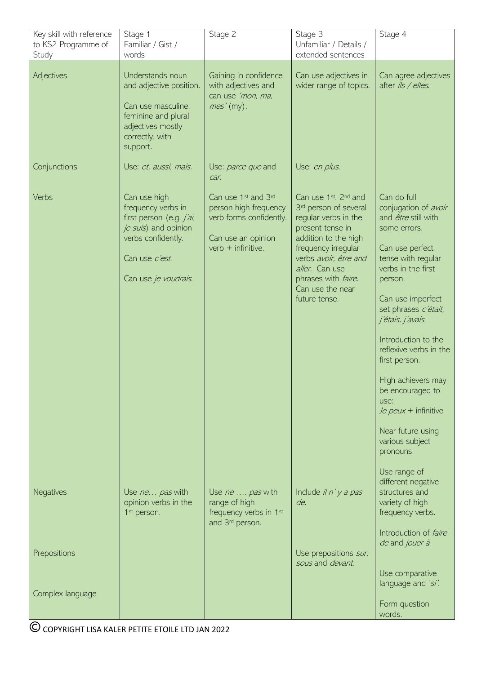| Key skill with reference<br>to KS2 Programme of<br>Study | Stage 1<br>Familiar / Gist /<br>words                                                                                                                  | Stage 2                                                                                                                         | Stage 3<br>Unfamiliar / Details /<br>extended sentences                                                                                                                                                                                                     | Stage 4                                                                                                                                                                                                                                                                                                                                                                                                                                                |
|----------------------------------------------------------|--------------------------------------------------------------------------------------------------------------------------------------------------------|---------------------------------------------------------------------------------------------------------------------------------|-------------------------------------------------------------------------------------------------------------------------------------------------------------------------------------------------------------------------------------------------------------|--------------------------------------------------------------------------------------------------------------------------------------------------------------------------------------------------------------------------------------------------------------------------------------------------------------------------------------------------------------------------------------------------------------------------------------------------------|
| Adjectives                                               | Understands noun<br>and adjective position.<br>Can use masculine,<br>feminine and plural<br>adjectives mostly<br>correctly, with<br>support.           | Gaining in confidence<br>with adjectives and<br>can use 'mon, ma,<br>mes'(my).                                                  | Can use adjectives in<br>wider range of topics.                                                                                                                                                                                                             | Can agree adjectives<br>after ils / elles.                                                                                                                                                                                                                                                                                                                                                                                                             |
| Conjunctions                                             | Use: et, aussi, mais.                                                                                                                                  | Use: parce que and<br>car.                                                                                                      | Use: en plus.                                                                                                                                                                                                                                               |                                                                                                                                                                                                                                                                                                                                                                                                                                                        |
| Verbs                                                    | Can use high<br>frequency verbs in<br>first person (e.g. j'ai,<br>je suis) and opinion<br>verbs confidently.<br>Can use c'est.<br>Can use je voudrais. | Can use 1 <sup>st</sup> and 3rd<br>person high frequency<br>verb forms confidently.<br>Can use an opinion<br>$verb + infinite.$ | Can use 1st. 2nd and<br>3 <sup>rd</sup> person of several<br>regular verbs in the<br>present tense in<br>addition to the high<br>frequency irregular<br>verbs avoir, être and<br>aller. Can use<br>phrases with faire.<br>Can use the near<br>future tense. | Can do full<br>conjugation of avoir<br>and <i>être</i> still with<br>some errors.<br>Can use perfect<br>tense with regular<br>verbs in the first<br>person.<br>Can use imperfect<br>set phrases c'était,<br>j'étais, j'avais.<br>Introduction to the<br>reflexive verbs in the<br>first person.<br>High achievers may<br>be encouraged to<br>use:<br>$\sqrt{e}$ peux + infinitive<br>Near future using<br>various subject<br>pronouns.<br>Use range of |
| <b>Negatives</b>                                         | Use ne pas with<br>opinion verbs in the<br>1 <sup>st</sup> person.                                                                                     | Use ne  pas with<br>range of high<br>frequency verbs in 1st<br>and 3 <sup>rd</sup> person.                                      | Include $\mathit{i}$ in' $\mathit{y}$ a pas<br>de.                                                                                                                                                                                                          | different negative<br>structures and<br>variety of high<br>frequency verbs.                                                                                                                                                                                                                                                                                                                                                                            |
| Prepositions                                             |                                                                                                                                                        |                                                                                                                                 | Use prepositions sur,<br>sous and devant.                                                                                                                                                                                                                   | Introduction of faire<br>de and jouer à                                                                                                                                                                                                                                                                                                                                                                                                                |
| Complex language                                         |                                                                                                                                                        |                                                                                                                                 |                                                                                                                                                                                                                                                             | Use comparative<br>language and 'si'.<br>Form question<br>words.                                                                                                                                                                                                                                                                                                                                                                                       |